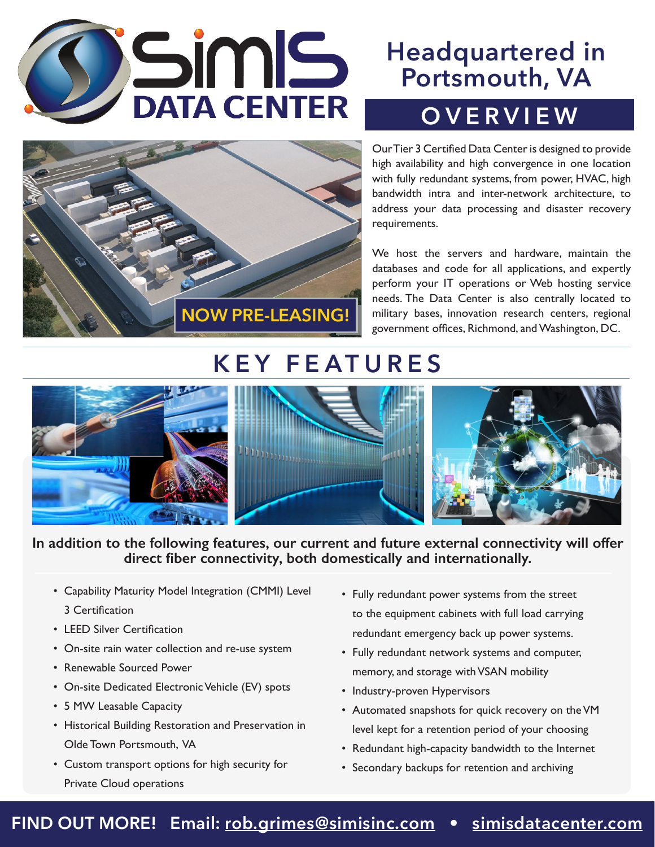





Our Tier 3 Certified Data Center is designed to provide high availability and high convergence in one location with fully redundant systems, from power, HVAC, high bandwidth intra and inter-network architecture, to address your data processing and disaster recovery requirements.

We host the servers and hardware, maintain the databases and code for all applications, and expertly perform your IT operations or Web hosting service needs. The Data Center is also centrally located to military bases, innovation research centers, regional government offices, Richmond, and Washington, DC.

## **KEY FEATURES**



#### **In addition to the following features, our current and future external connectivity will offer direct fiber connectivity, both domestically and internationally.**

- Capability Maturity Model Integration (CMMI) Level 3 Certification
- LEED Silver Certification
- On-site rain water collection and re-use system
- Renewable Sourced Power
- On-site Dedicated Electronic Vehicle (EV) spots
- 5 MW Leasable Capacity
- Historical Building Restoration and Preservation in Olde Town Portsmouth, VA
- Custom transport options for high security for Private Cloud operations
- Fully redundant power systems from the street to the equipment cabinets with full load carrying redundant emergency back up power systems.
- Fully redundant network systems and computer, memory, and storage with VSAN mobility
- Industry-proven Hypervisors
- Automated snapshots for quick recovery on theVM level kept for a retention period of your choosing
- Redundant high-capacity bandwidth to the Internet
- Secondary backups for retention and archiving